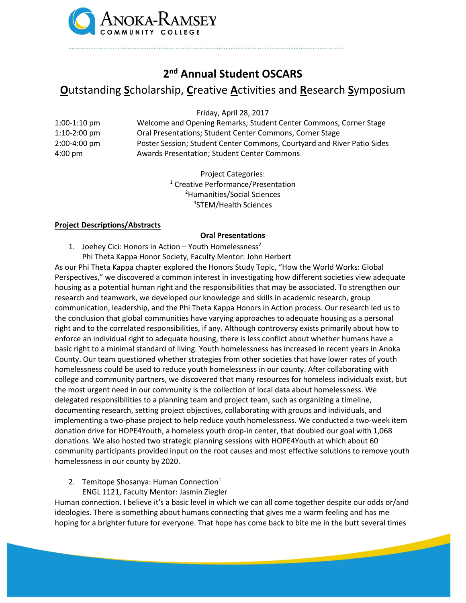

## **2 nd Annual Student OSCARS**

# **O**utstanding **S**cholarship, **C**reative **A**ctivities and **R**esearch **S**ymposium

Friday, April 28, 2017

1:00-1:10 pm Welcome and Opening Remarks; Student Center Commons, Corner Stage 1:10-2:00 pm Oral Presentations; Student Center Commons, Corner Stage 2:00-4:00 pm Poster Session; Student Center Commons, Courtyard and River Patio Sides 4:00 pm Awards Presentation; Student Center Commons

> Project Categories: Creative Performance/Presentation Humanities/Social Sciences STEM/Health Sciences

#### **Project Descriptions/Abstracts**

#### **Oral Presentations**

- 1. Joehey Cici: Honors in Action Youth Homelessness<sup>2</sup>
	- Phi Theta Kappa Honor Society, Faculty Mentor: John Herbert

As our Phi Theta Kappa chapter explored the Honors Study Topic, "How the World Works: Global Perspectives," we discovered a common interest in investigating how different societies view adequate housing as a potential human right and the responsibilities that may be associated. To strengthen our research and teamwork, we developed our knowledge and skills in academic research, group communication, leadership, and the Phi Theta Kappa Honors in Action process. Our research led us to the conclusion that global communities have varying approaches to adequate housing as a personal right and to the correlated responsibilities, if any. Although controversy exists primarily about how to enforce an individual right to adequate housing, there is less conflict about whether humans have a basic right to a minimal standard of living. Youth homelessness has increased in recent years in Anoka County. Our team questioned whether strategies from other societies that have lower rates of youth homelessness could be used to reduce youth homelessness in our county. After collaborating with college and community partners, we discovered that many resources for homeless individuals exist, but the most urgent need in our community is the collection of local data about homelessness. We delegated responsibilities to a planning team and project team, such as organizing a timeline, documenting research, setting project objectives, collaborating with groups and individuals, and implementing a two-phase project to help reduce youth homelessness. We conducted a two-week item donation drive for HOPE4Youth, a homeless youth drop-in center, that doubled our goal with 1,068 donations. We also hosted two strategic planning sessions with HOPE4Youth at which about 60 community participants provided input on the root causes and most effective solutions to remove youth homelessness in our county by 2020.

- 2. Temitope Shosanya: Human Connection $1$ 
	- ENGL 1121, Faculty Mentor: Jasmin Ziegler

Human connection. I believe it's a basic level in which we can all come together despite our odds or/and ideologies. There is something about humans connecting that gives me a warm feeling and has me hoping for a brighter future for everyone. That hope has come back to bite me in the butt several times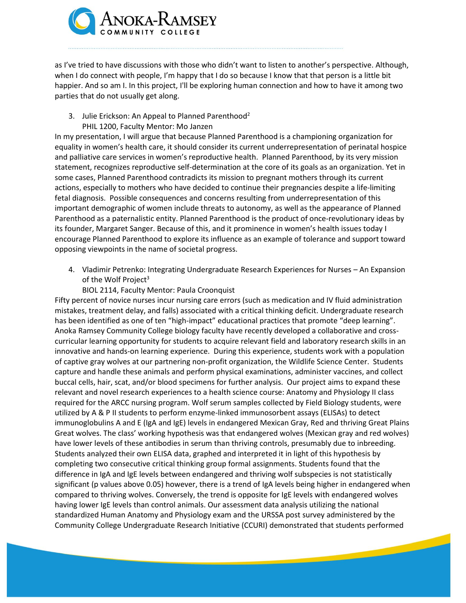

as I've tried to have discussions with those who didn't want to listen to another's perspective. Although, when I do connect with people, I'm happy that I do so because I know that that person is a little bit happier. And so am I. In this project, I'll be exploring human connection and how to have it among two parties that do not usually get along.

#### 3. Julie Erickson: An Appeal to Planned Parenthood<sup>2</sup>

### PHIL 1200, Faculty Mentor: Mo Janzen

In my presentation, I will argue that because Planned Parenthood is a championing organization for equality in women's health care, it should consider its current underrepresentation of perinatal hospice and palliative care services in women's reproductive health. Planned Parenthood, by its very mission statement, recognizes reproductive self-determination at the core of its goals as an organization. Yet in some cases, Planned Parenthood contradicts its mission to pregnant mothers through its current actions, especially to mothers who have decided to continue their pregnancies despite a life-limiting fetal diagnosis. Possible consequences and concerns resulting from underrepresentation of this important demographic of women include threats to autonomy, as well as the appearance of Planned Parenthood as a paternalistic entity. Planned Parenthood is the product of once-revolutionary ideas by its founder, Margaret Sanger. Because of this, and it prominence in women's health issues today I encourage Planned Parenthood to explore its influence as an example of tolerance and support toward opposing viewpoints in the name of societal progress.

4. Vladimir Petrenko: Integrating Undergraduate Research Experiences for Nurses – An Expansion of the Wolf Project $3$ 

#### BIOL 2114, Faculty Mentor: Paula Croonquist

Fifty percent of novice nurses incur nursing care errors (such as medication and IV fluid administration mistakes, treatment delay, and falls) associated with a critical thinking deficit. Undergraduate research has been identified as one of ten "high-impact" educational practices that promote "deep learning". Anoka Ramsey Community College biology faculty have recently developed a collaborative and crosscurricular learning opportunity for students to acquire relevant field and laboratory research skills in an innovative and hands-on learning experience. During this experience, students work with a population of captive gray wolves at our partnering non-profit organization, the Wildlife Science Center. Students capture and handle these animals and perform physical examinations, administer vaccines, and collect buccal cells, hair, scat, and/or blood specimens for further analysis. Our project aims to expand these relevant and novel research experiences to a health science course: Anatomy and Physiology II class required for the ARCC nursing program. Wolf serum samples collected by Field Biology students, were utilized by A & P II students to perform enzyme-linked immunosorbent assays (ELISAs) to detect immunoglobulins A and E (IgA and IgE) levels in endangered Mexican Gray, Red and thriving Great Plains Great wolves. The class' working hypothesis was that endangered wolves (Mexican gray and red wolves) have lower levels of these antibodies in serum than thriving controls, presumably due to inbreeding. Students analyzed their own ELISA data, graphed and interpreted it in light of this hypothesis by completing two consecutive critical thinking group formal assignments. Students found that the difference in IgA and IgE levels between endangered and thriving wolf subspecies is not statistically significant (p values above 0.05) however, there is a trend of IgA levels being higher in endangered when compared to thriving wolves. Conversely, the trend is opposite for IgE levels with endangered wolves having lower IgE levels than control animals. Our assessment data analysis utilizing the national standardized Human Anatomy and Physiology exam and the URSSA post survey administered by the Community College Undergraduate Research Initiative (CCURI) demonstrated that students performed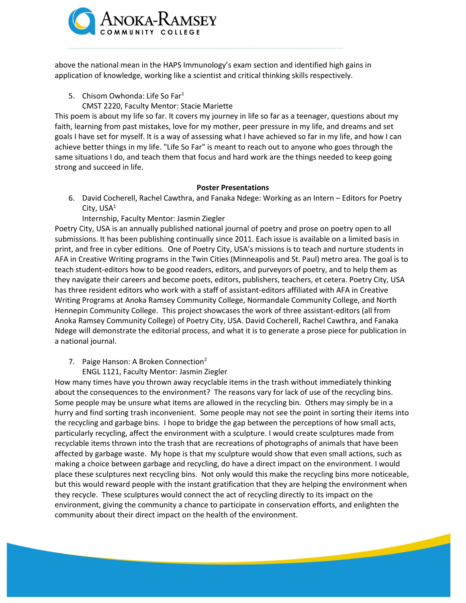

above the national mean in the HAPS Immunology's exam section and identified high gains in application of knowledge, working like a scientist and critical thinking skills respectively.

- 5. Chisom Owhonda: Life So Far<sup>1</sup>
	- CMST 2220, Faculty Mentor: Stacie Mariette

This poem is about my life so far. It covers my journey in life so far as a teenager, questions about my faith, learning from past mistakes, love for my mother, peer pressure in my life, and dreams and set goals I have set for myself. It is a way of assessing what I have achieved so far in my life, and how I can achieve better things in my life. "Life So Far" is meant to reach out to anyone who goes through the same situations I do, and teach them that focus and hard work are the things needed to keep going strong and succeed in life.

#### **Poster Presentations**

- 6. David Cocherell, Rachel Cawthra, and Fanaka Ndege: Working as an Intern Editors for Poetry City,  $USA<sup>1</sup>$ 
	- Internship, Faculty Mentor: Jasmin Ziegler

Poetry City, USA is an annually published national journal of poetry and prose on poetry open to all submissions. It has been publishing continually since 2011. Each issue is available on a limited basis in print, and free in cyber editions. One of Poetry City, USA's missions is to teach and nurture students in AFA in Creative Writing programs in the Twin Cities (Minneapolis and St. Paul) metro area. The goal is to teach student-editors how to be good readers, editors, and purveyors of poetry, and to help them as they navigate their careers and become poets, editors, publishers, teachers, et cetera. Poetry City, USA has three resident editors who work with a staff of assistant-editors affiliated with AFA in Creative Writing Programs at Anoka Ramsey Community College, Normandale Community College, and North Hennepin Community College. This project showcases the work of three assistant-editors (all from Anoka Ramsey Community College) of Poetry City, USA. David Cocherell, Rachel Cawthra, and Fanaka Ndege will demonstrate the editorial process, and what it is to generate a prose piece for publication in a national journal.

- 7. Paige Hanson: A Broken Connection<sup>2</sup>
	- ENGL 1121, Faculty Mentor: Jasmin Ziegler

How many times have you thrown away recyclable items in the trash without immediately thinking about the consequences to the environment? The reasons vary for lack of use of the recycling bins. Some people may be unsure what items are allowed in the recycling bin. Others may simply be in a hurry and find sorting trash inconvenient. Some people may not see the point in sorting their items into the recycling and garbage bins. I hope to bridge the gap between the perceptions of how small acts, particularly recycling, affect the environment with a sculpture. I would create sculptures made from recyclable items thrown into the trash that are recreations of photographs of animals that have been affected by garbage waste. My hope is that my sculpture would show that even small actions, such as making a choice between garbage and recycling, do have a direct impact on the environment. I would place these sculptures next recycling bins. Not only would this make the recycling bins more noticeable, but this would reward people with the instant gratification that they are helping the environment when they recycle. These sculptures would connect the act of recycling directly to its impact on the environment, giving the community a chance to participate in conservation efforts, and enlighten the community about their direct impact on the health of the environment.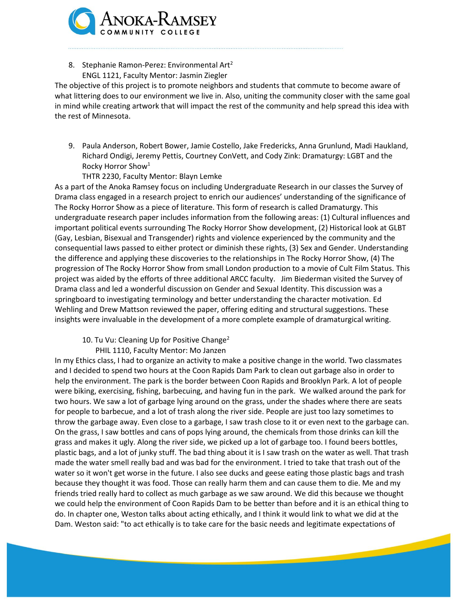

8. Stephanie Ramon-Perez: Environmental Art<sup>2</sup> ENGL 1121, Faculty Mentor: Jasmin Ziegler

The objective of this project is to promote neighbors and students that commute to become aware of what littering does to our environment we live in. Also, uniting the community closer with the same goal in mind while creating artwork that will impact the rest of the community and help spread this idea with the rest of Minnesota.

- 9. Paula Anderson, Robert Bower, Jamie Costello, Jake Fredericks, Anna Grunlund, Madi Haukland, Richard Ondigi, Jeremy Pettis, Courtney ConVett, and Cody Zink: Dramaturgy: LGBT and the Rocky Horror Show<sup>1</sup>
	- THTR 2230, Faculty Mentor: Blayn Lemke

As a part of the Anoka Ramsey focus on including Undergraduate Research in our classes the Survey of Drama class engaged in a research project to enrich our audiences' understanding of the significance of The Rocky Horror Show as a piece of literature. This form of research is called Dramaturgy. This undergraduate research paper includes information from the following areas: (1) Cultural influences and important political events surrounding The Rocky Horror Show development, (2) Historical look at GLBT (Gay, Lesbian, Bisexual and Transgender) rights and violence experienced by the community and the consequential laws passed to either protect or diminish these rights, (3) Sex and Gender. Understanding the difference and applying these discoveries to the relationships in The Rocky Horror Show, (4) The progression of The Rocky Horror Show from small London production to a movie of Cult Film Status. This project was aided by the efforts of three additional ARCC faculty. Jim Biederman visited the Survey of Drama class and led a wonderful discussion on Gender and Sexual Identity. This discussion was a springboard to investigating terminology and better understanding the character motivation. Ed Wehling and Drew Mattson reviewed the paper, offering editing and structural suggestions. These insights were invaluable in the development of a more complete example of dramaturgical writing.

- 10. Tu Vu: Cleaning Up for Positive Change<sup>2</sup>
	- PHIL 1110, Faculty Mentor: Mo Janzen

In my Ethics class, I had to organize an activity to make a positive change in the world. Two classmates and I decided to spend two hours at the Coon Rapids Dam Park to clean out garbage also in order to help the environment. The park is the border between Coon Rapids and Brooklyn Park. A lot of people were biking, exercising, fishing, barbecuing, and having fun in the park. We walked around the park for two hours. We saw a lot of garbage lying around on the grass, under the shades where there are seats for people to barbecue, and a lot of trash along the river side. People are just too lazy sometimes to throw the garbage away. Even close to a garbage, I saw trash close to it or even next to the garbage can. On the grass, I saw bottles and cans of pops lying around, the chemicals from those drinks can kill the grass and makes it ugly. Along the river side, we picked up a lot of garbage too. I found beers bottles, plastic bags, and a lot of junky stuff. The bad thing about it is I saw trash on the water as well. That trash made the water smell really bad and was bad for the environment. I tried to take that trash out of the water so it won't get worse in the future. I also see ducks and geese eating those plastic bags and trash because they thought it was food. Those can really harm them and can cause them to die. Me and my friends tried really hard to collect as much garbage as we saw around. We did this because we thought we could help the environment of Coon Rapids Dam to be better than before and it is an ethical thing to do. In chapter one, Weston talks about acting ethically, and I think it would link to what we did at the Dam. Weston said: "to act ethically is to take care for the basic needs and legitimate expectations of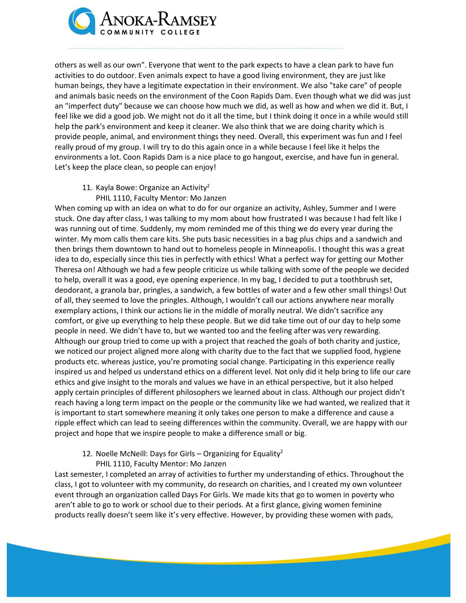

others as well as our own". Everyone that went to the park expects to have a clean park to have fun activities to do outdoor. Even animals expect to have a good living environment, they are just like human beings, they have a legitimate expectation in their environment. We also "take care" of people and animals basic needs on the environment of the Coon Rapids Dam. Even though what we did was just an "imperfect duty" because we can choose how much we did, as well as how and when we did it. But, I feel like we did a good job. We might not do it all the time, but I think doing it once in a while would still help the park's environment and keep it cleaner. We also think that we are doing charity which is provide people, animal, and environment things they need. Overall, this experiment was fun and I feel really proud of my group. I will try to do this again once in a while because I feel like it helps the environments a lot. Coon Rapids Dam is a nice place to go hangout, exercise, and have fun in general. Let's keep the place clean, so people can enjoy!

- 11. Kayla Bowe: Organize an Activity<sup>2</sup>
	- PHIL 1110, Faculty Mentor: Mo Janzen

When coming up with an idea on what to do for our organize an activity, Ashley, Summer and I were stuck. One day after class, I was talking to my mom about how frustrated I was because I had felt like I was running out of time. Suddenly, my mom reminded me of this thing we do every year during the winter. My mom calls them care kits. She puts basic necessities in a bag plus chips and a sandwich and then brings them downtown to hand out to homeless people in Minneapolis. I thought this was a great idea to do, especially since this ties in perfectly with ethics! What a perfect way for getting our Mother Theresa on! Although we had a few people criticize us while talking with some of the people we decided to help, overall it was a good, eye opening experience. In my bag, I decided to put a toothbrush set, deodorant, a granola bar, pringles, a sandwich, a few bottles of water and a few other small things! Out of all, they seemed to love the pringles. Although, I wouldn't call our actions anywhere near morally exemplary actions, I think our actions lie in the middle of morally neutral. We didn't sacrifice any comfort, or give up everything to help these people. But we did take time out of our day to help some people in need. We didn't have to, but we wanted too and the feeling after was very rewarding. Although our group tried to come up with a project that reached the goals of both charity and justice, we noticed our project aligned more along with charity due to the fact that we supplied food, hygiene products etc. whereas justice, you're promoting social change. Participating in this experience really inspired us and helped us understand ethics on a different level. Not only did it help bring to life our care ethics and give insight to the morals and values we have in an ethical perspective, but it also helped apply certain principles of different philosophers we learned about in class. Although our project didn't reach having a long term impact on the people or the community like we had wanted, we realized that it is important to start somewhere meaning it only takes one person to make a difference and cause a ripple effect which can lead to seeing differences within the community. Overall, we are happy with our project and hope that we inspire people to make a difference small or big.

12. Noelle McNeill: Days for Girls – Organizing for Equality<sup>2</sup> PHIL 1110, Faculty Mentor: Mo Janzen

Last semester, I completed an array of activities to further my understanding of ethics. Throughout the class, I got to volunteer with my community, do research on charities, and I created my own volunteer event through an organization called Days For Girls. We made kits that go to women in poverty who aren't able to go to work or school due to their periods. At a first glance, giving women feminine products really doesn't seem like it's very effective. However, by providing these women with pads,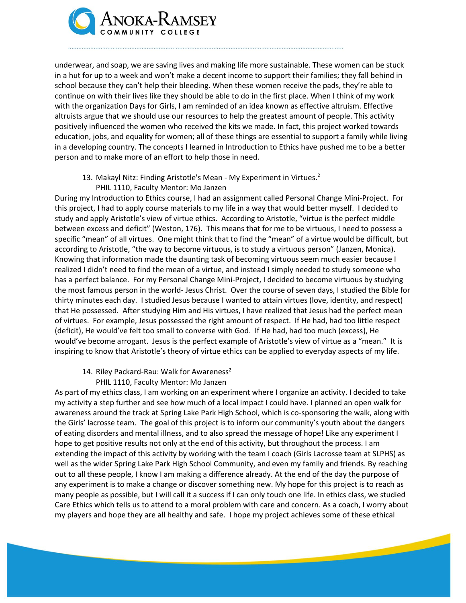

underwear, and soap, we are saving lives and making life more sustainable. These women can be stuck in a hut for up to a week and won't make a decent income to support their families; they fall behind in school because they can't help their bleeding. When these women receive the pads, they're able to continue on with their lives like they should be able to do in the first place. When I think of my work with the organization Days for Girls, I am reminded of an idea known as effective altruism. Effective altruists argue that we should use our resources to help the greatest amount of people. This activity positively influenced the women who received the kits we made. In fact, this project worked towards education, jobs, and equality for women; all of these things are essential to support a family while living in a developing country. The concepts I learned in Introduction to Ethics have pushed me to be a better person and to make more of an effort to help those in need.

- 13. Makayl Nitz: Finding Aristotle's Mean My Experiment in Virtues.<sup>2</sup>
	- PHIL 1110, Faculty Mentor: Mo Janzen

During my Introduction to Ethics course, I had an assignment called Personal Change Mini-Project. For this project, I had to apply course materials to my life in a way that would better myself. I decided to study and apply Aristotle's view of virtue ethics. According to Aristotle, "virtue is the perfect middle between excess and deficit" (Weston, 176). This means that for me to be virtuous, I need to possess a specific "mean" of all virtues. One might think that to find the "mean" of a virtue would be difficult, but according to Aristotle, "the way to become virtuous, is to study a virtuous person" (Janzen, Monica). Knowing that information made the daunting task of becoming virtuous seem much easier because I realized I didn't need to find the mean of a virtue, and instead I simply needed to study someone who has a perfect balance. For my Personal Change Mini-Project, I decided to become virtuous by studying the most famous person in the world- Jesus Christ. Over the course of seven days, I studied the Bible for thirty minutes each day. I studied Jesus because I wanted to attain virtues (love, identity, and respect) that He possessed. After studying Him and His virtues, I have realized that Jesus had the perfect mean of virtues. For example, Jesus possessed the right amount of respect. If He had, had too little respect (deficit), He would've felt too small to converse with God. If He had, had too much (excess), He would've become arrogant. Jesus is the perfect example of Aristotle's view of virtue as a "mean." It is inspiring to know that Aristotle's theory of virtue ethics can be applied to everyday aspects of my life.

- 14. Riley Packard-Rau: Walk for Awareness<sup>2</sup>
	- PHIL 1110, Faculty Mentor: Mo Janzen

As part of my ethics class, I am working on an experiment where I organize an activity. I decided to take my activity a step further and see how much of a local impact I could have. I planned an open walk for awareness around the track at Spring Lake Park High School, which is co-sponsoring the walk, along with the Girls' lacrosse team. The goal of this project is to inform our community's youth about the dangers of eating disorders and mental illness, and to also spread the message of hope! Like any experiment I hope to get positive results not only at the end of this activity, but throughout the process. I am extending the impact of this activity by working with the team I coach (Girls Lacrosse team at SLPHS) as well as the wider Spring Lake Park High School Community, and even my family and friends. By reaching out to all these people, I know I am making a difference already. At the end of the day the purpose of any experiment is to make a change or discover something new. My hope for this project is to reach as many people as possible, but I will call it a success if I can only touch one life. In ethics class, we studied Care Ethics which tells us to attend to a moral problem with care and concern. As a coach, I worry about my players and hope they are all healthy and safe. I hope my project achieves some of these ethical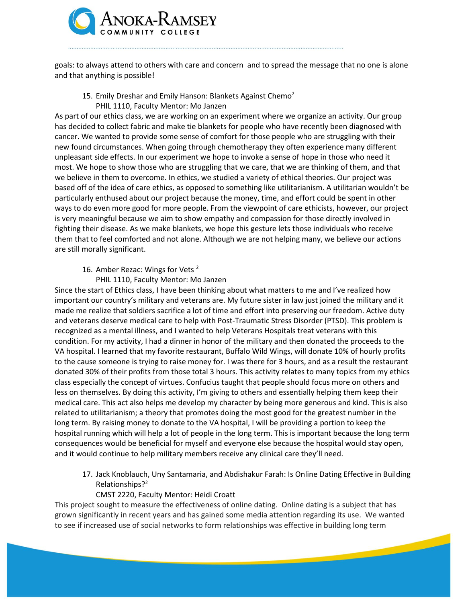

goals: to always attend to others with care and concern and to spread the message that no one is alone and that anything is possible!

15. Emily Dreshar and Emily Hanson: Blankets Against Chemo<sup>2</sup> PHIL 1110, Faculty Mentor: Mo Janzen

As part of our ethics class, we are working on an experiment where we organize an activity. Our group has decided to collect fabric and make tie blankets for people who have recently been diagnosed with cancer. We wanted to provide some sense of comfort for those people who are struggling with their new found circumstances. When going through chemotherapy they often experience many different unpleasant side effects. In our experiment we hope to invoke a sense of hope in those who need it most. We hope to show those who are struggling that we care, that we are thinking of them, and that we believe in them to overcome. In ethics, we studied a variety of ethical theories. Our project was based off of the idea of care ethics, as opposed to something like utilitarianism. A utilitarian wouldn't be particularly enthused about our project because the money, time, and effort could be spent in other ways to do even more good for more people. From the viewpoint of care ethicists, however, our project is very meaningful because we aim to show empathy and compassion for those directly involved in fighting their disease. As we make blankets, we hope this gesture lets those individuals who receive them that to feel comforted and not alone. Although we are not helping many, we believe our actions are still morally significant.

#### 16. Amber Rezac: Wings for Vets<sup>2</sup>

#### PHIL 1110, Faculty Mentor: Mo Janzen

Since the start of Ethics class, I have been thinking about what matters to me and I've realized how important our country's military and veterans are. My future sister in law just joined the military and it made me realize that soldiers sacrifice a lot of time and effort into preserving our freedom. Active duty and veterans deserve medical care to help with Post-Traumatic Stress Disorder (PTSD). This problem is recognized as a mental illness, and I wanted to help Veterans Hospitals treat veterans with this condition. For my activity, I had a dinner in honor of the military and then donated the proceeds to the VA hospital. I learned that my favorite restaurant, Buffalo Wild Wings, will donate 10% of hourly profits to the cause someone is trying to raise money for. I was there for 3 hours, and as a result the restaurant donated 30% of their profits from those total 3 hours. This activity relates to many topics from my ethics class especially the concept of virtues. Confucius taught that people should focus more on others and less on themselves. By doing this activity, I'm giving to others and essentially helping them keep their medical care. This act also helps me develop my character by being more generous and kind. This is also related to utilitarianism; a theory that promotes doing the most good for the greatest number in the long term. By raising money to donate to the VA hospital, I will be providing a portion to keep the hospital running which will help a lot of people in the long term. This is important because the long term consequences would be beneficial for myself and everyone else because the hospital would stay open, and it would continue to help military members receive any clinical care they'll need.

17. Jack Knoblauch, Uny Santamaria, and Abdishakur Farah: Is Online Dating Effective in Building Relationships?<sup>2</sup>

### CMST 2220, Faculty Mentor: Heidi Croatt

This project sought to measure the effectiveness of online dating. Online dating is a subject that has grown significantly in recent years and has gained some media attention regarding its use. We wanted to see if increased use of social networks to form relationships was effective in building long term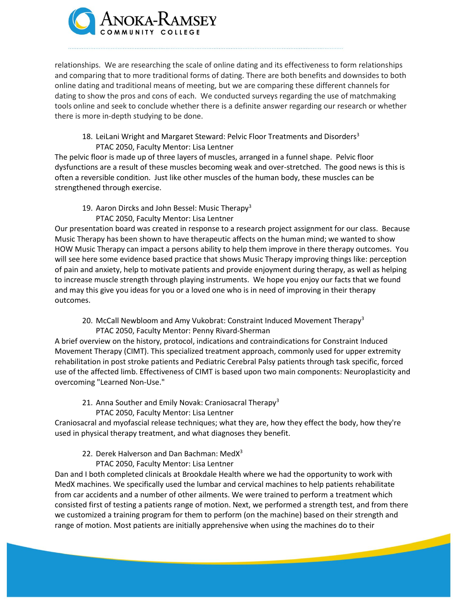

relationships. We are researching the scale of online dating and its effectiveness to form relationships and comparing that to more traditional forms of dating. There are both benefits and downsides to both online dating and traditional means of meeting, but we are comparing these different channels for dating to show the pros and cons of each. We conducted surveys regarding the use of matchmaking tools online and seek to conclude whether there is a definite answer regarding our research or whether there is more in-depth studying to be done.

18. LeiLani Wright and Margaret Steward: Pelvic Floor Treatments and Disorders<sup>3</sup> PTAC 2050, Faculty Mentor: Lisa Lentner

The pelvic floor is made up of three layers of muscles, arranged in a funnel shape. Pelvic floor dysfunctions are a result of these muscles becoming weak and over-stretched. The good news is this is often a reversible condition. Just like other muscles of the human body, these muscles can be strengthened through exercise.

- 19. Aaron Dircks and John Bessel: Music Therapy<sup>3</sup>
	- PTAC 2050, Faculty Mentor: Lisa Lentner

Our presentation board was created in response to a research project assignment for our class. Because Music Therapy has been shown to have therapeutic affects on the human mind; we wanted to show HOW Music Therapy can impact a persons ability to help them improve in there therapy outcomes. You will see here some evidence based practice that shows Music Therapy improving things like: perception of pain and anxiety, help to motivate patients and provide enjoyment during therapy, as well as helping to increase muscle strength through playing instruments. We hope you enjoy our facts that we found and may this give you ideas for you or a loved one who is in need of improving in their therapy outcomes.

20. McCall Newbloom and Amy Vukobrat: Constraint Induced Movement Therapy<sup>3</sup> PTAC 2050, Faculty Mentor: Penny Rivard-Sherman

A brief overview on the history, protocol, indications and contraindications for Constraint Induced Movement Therapy (CIMT). This specialized treatment approach, commonly used for upper extremity rehabilitation in post stroke patients and Pediatric Cerebral Palsy patients through task specific, forced use of the affected limb. Effectiveness of CIMT is based upon two main components: Neuroplasticity and overcoming "Learned Non-Use."

21. Anna Souther and Emily Novak: Craniosacral Therapy<sup>3</sup> PTAC 2050, Faculty Mentor: Lisa Lentner

Craniosacral and myofascial release techniques; what they are, how they effect the body, how they're used in physical therapy treatment, and what diagnoses they benefit.

- 22. Derek Halverson and Dan Bachman: Med $X^3$ 
	- PTAC 2050, Faculty Mentor: Lisa Lentner

Dan and I both completed clinicals at Brookdale Health where we had the opportunity to work with MedX machines. We specifically used the lumbar and cervical machines to help patients rehabilitate from car accidents and a number of other ailments. We were trained to perform a treatment which consisted first of testing a patients range of motion. Next, we performed a strength test, and from there we customized a training program for them to perform (on the machine) based on their strength and range of motion. Most patients are initially apprehensive when using the machines do to their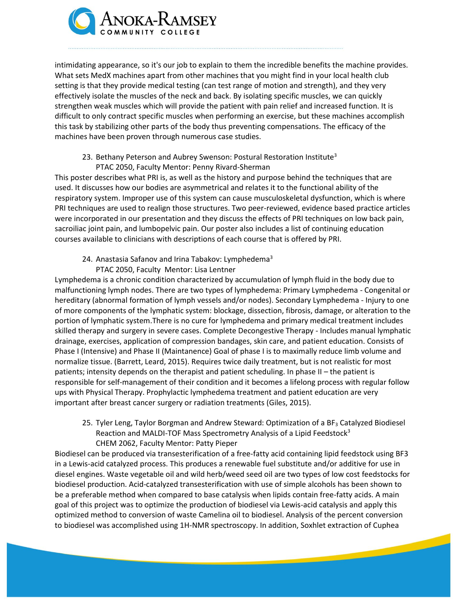

intimidating appearance, so it's our job to explain to them the incredible benefits the machine provides. What sets MedX machines apart from other machines that you might find in your local health club setting is that they provide medical testing (can test range of motion and strength), and they very effectively isolate the muscles of the neck and back. By isolating specific muscles, we can quickly strengthen weak muscles which will provide the patient with pain relief and increased function. It is difficult to only contract specific muscles when performing an exercise, but these machines accomplish this task by stabilizing other parts of the body thus preventing compensations. The efficacy of the machines have been proven through numerous case studies.

## 23. Bethany Peterson and Aubrey Swenson: Postural Restoration Institute<sup>3</sup> PTAC 2050, Faculty Mentor: Penny Rivard-Sherman

This poster describes what PRI is, as well as the history and purpose behind the techniques that are used. It discusses how our bodies are asymmetrical and relates it to the functional ability of the respiratory system. Improper use of this system can cause musculoskeletal dysfunction, which is where PRI techniques are used to realign those structures. Two peer-reviewed, evidence based practice articles were incorporated in our presentation and they discuss the effects of PRI techniques on low back pain, sacroiliac joint pain, and lumbopelvic pain. Our poster also includes a list of continuing education courses available to clinicians with descriptions of each course that is offered by PRI.

24. Anastasia Safanov and Irina Tabakov: Lymphedema<sup>3</sup> PTAC 2050, Faculty Mentor: Lisa Lentner

Lymphedema is a chronic condition characterized by accumulation of lymph fluid in the body due to malfunctioning lymph nodes. There are two types of lymphedema: Primary Lymphedema - Congenital or hereditary (abnormal formation of lymph vessels and/or nodes). Secondary Lymphedema - Injury to one of more components of the lymphatic system: blockage, dissection, fibrosis, damage, or alteration to the portion of lymphatic system.There is no cure for lymphedema and primary medical treatment includes skilled therapy and surgery in severe cases. Complete Decongestive Therapy - Includes manual lymphatic drainage, exercises, application of compression bandages, skin care, and patient education. Consists of Phase I (Intensive) and Phase II (Maintanence) Goal of phase I is to maximally reduce limb volume and normalize tissue. (Barrett, Leard, 2015). Requires twice daily treatment, but is not realistic for most patients; intensity depends on the therapist and patient scheduling. In phase II – the patient is responsible for self-management of their condition and it becomes a lifelong process with regular follow ups with Physical Therapy. Prophylactic lymphedema treatment and patient education are very important after breast cancer surgery or radiation treatments (Giles, 2015).

25. Tyler Leng, Taylor Borgman and Andrew Steward: Optimization of a BF<sub>3</sub> Catalyzed Biodiesel Reaction and MALDI-TOF Mass Spectrometry Analysis of a Lipid Feedstock<sup>3</sup> CHEM 2062, Faculty Mentor: Patty Pieper

Biodiesel can be produced via transesterification of a free-fatty acid containing lipid feedstock using BF3 in a Lewis-acid catalyzed process. This produces a renewable fuel substitute and/or additive for use in diesel engines. Waste vegetable oil and wild herb/weed seed oil are two types of low cost feedstocks for biodiesel production. Acid-catalyzed transesterification with use of simple alcohols has been shown to be a preferable method when compared to base catalysis when lipids contain free-fatty acids. A main goal of this project was to optimize the production of biodiesel via Lewis-acid catalysis and apply this optimized method to conversion of waste Camelina oil to biodiesel. Analysis of the percent conversion to biodiesel was accomplished using 1H-NMR spectroscopy. In addition, Soxhlet extraction of Cuphea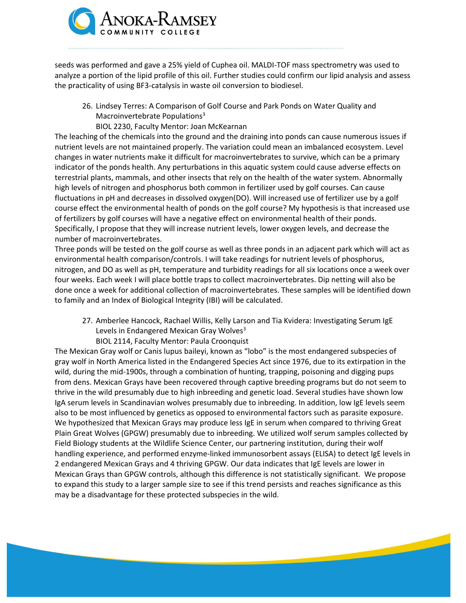

seeds was performed and gave a 25% yield of Cuphea oil. MALDI-TOF mass spectrometry was used to analyze a portion of the lipid profile of this oil. Further studies could confirm our lipid analysis and assess the practicality of using BF3-catalysis in waste oil conversion to biodiesel.

26. Lindsey Terres: A Comparison of Golf Course and Park Ponds on Water Quality and Macroinvertebrate Populations<sup>3</sup>

### BIOL 2230, Faculty Mentor: Joan McKearnan

The leaching of the chemicals into the ground and the draining into ponds can cause numerous issues if nutrient levels are not maintained properly. The variation could mean an imbalanced ecosystem. Level changes in water nutrients make it difficult for macroinvertebrates to survive, which can be a primary indicator of the ponds health. Any perturbations in this aquatic system could cause adverse effects on terrestrial plants, mammals, and other insects that rely on the health of the water system. Abnormally high levels of nitrogen and phosphorus both common in fertilizer used by golf courses. Can cause fluctuations in pH and decreases in dissolved oxygen(DO). Will increased use of fertilizer use by a golf course effect the environmental health of ponds on the golf course? My hypothesis is that increased use of fertilizers by golf courses will have a negative effect on environmental health of their ponds. Specifically, I propose that they will increase nutrient levels, lower oxygen levels, and decrease the number of macroinvertebrates.

Three ponds will be tested on the golf course as well as three ponds in an adjacent park which will act as environmental health comparison/controls. I will take readings for nutrient levels of phosphorus, nitrogen, and DO as well as pH, temperature and turbidity readings for all six locations once a week over four weeks. Each week I will place bottle traps to collect macroinvertebrates. Dip netting will also be done once a week for additional collection of macroinvertebrates. These samples will be identified down to family and an Index of Biological Integrity (IBI) will be calculated.

- 27. Amberlee Hancock, Rachael Willis, Kelly Larson and Tia Kvidera: Investigating Serum IgE Levels in Endangered Mexican Gray Wolves $3$ 
	- BIOL 2114, Faculty Mentor: Paula Croonquist

The Mexican Gray wolf or Canis lupus baileyi, known as "lobo" is the most endangered subspecies of gray wolf in North America listed in the Endangered Species Act since 1976, due to its extirpation in the wild, during the mid-1900s, through a combination of hunting, trapping, poisoning and digging pups from dens. Mexican Grays have been recovered through captive breeding programs but do not seem to thrive in the wild presumably due to high inbreeding and genetic load. Several studies have shown low IgA serum levels in Scandinavian wolves presumably due to inbreeding. In addition, low IgE levels seem also to be most influenced by genetics as opposed to environmental factors such as parasite exposure. We hypothesized that Mexican Grays may produce less IgE in serum when compared to thriving Great Plain Great Wolves (GPGW) presumably due to inbreeding. We utilized wolf serum samples collected by Field Biology students at the Wildlife Science Center, our partnering institution, during their wolf handling experience, and performed enzyme-linked immunosorbent assays (ELISA) to detect IgE levels in 2 endangered Mexican Grays and 4 thriving GPGW. Our data indicates that IgE levels are lower in Mexican Grays than GPGW controls, although this difference is not statistically significant. We propose to expand this study to a larger sample size to see if this trend persists and reaches significance as this may be a disadvantage for these protected subspecies in the wild.